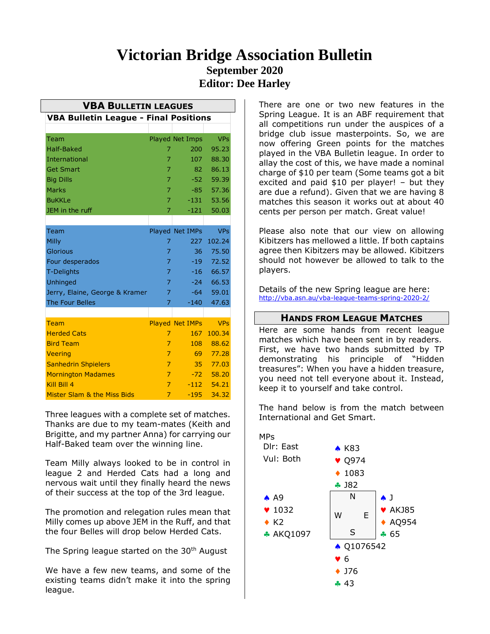# **Victorian Bridge Association Bulletin September 2020 Editor: Dee Harley**

| <b>VBA BULLETIN LEAGUES</b>                  |                |                        |            |
|----------------------------------------------|----------------|------------------------|------------|
| <b>VBA Bulletin League - Final Positions</b> |                |                        |            |
|                                              |                |                        |            |
| Team                                         |                | <b>Played Net Imps</b> | <b>VPs</b> |
| <b>Half-Baked</b>                            | 7              | 200                    | 95.23      |
| <b>International</b>                         | 7              | 107                    | 88.30      |
| <b>Get Smart</b>                             | 7              | 82                     | 86.13      |
| <b>Big Dills</b>                             | 7              | $-52 -$                | 59.39      |
| <b>Marks</b>                                 | 7              | $-85$                  | 57.36      |
| <b>BuKKLe</b>                                | 7              | $-131$                 | 53.56      |
| JEM in the ruff                              | 7              | $-121$                 | 50.03      |
|                                              |                |                        |            |
| Team                                         |                | Played Net IMPs        | <b>VPs</b> |
| Milly                                        | 7              | 227                    | 102.24     |
| Glorious                                     | 7              | 36                     | 75.50      |
| Four desperados                              | 7              | $-19$                  | 72.52      |
| <b>T-Delights</b>                            | 7              | $-16$                  | 66.57      |
| <b>Unhinged</b>                              | 7              | $-24$                  | 66.53      |
| Jerry, Elaine, George & Kramer               | 7              | $-64$                  | 59.01      |
| <b>The Four Belles</b>                       | 7              | $-140$                 | 47.63      |
|                                              |                |                        |            |
| Team                                         |                | <b>Played Net IMPs</b> | <b>VPs</b> |
| <b>Herded Cats</b>                           | 7              | 167                    | 100.34     |
| <b>Bird Team</b>                             | $\overline{7}$ | 108                    | 88.62      |
| <b>Veering</b>                               | $\overline{7}$ | 69                     | 77.28      |
| <b>Sanhedrin Shpielers</b>                   | 7              | $35 -$                 | 77.03      |
| <b>Mornington Madames</b>                    | $\overline{7}$ | $-72$                  | 58.20      |
| Kill Bill 4                                  | 7              | $-112$                 | 54.21      |
| Mister Slam & the Miss Bids                  | $\overline{7}$ | $-195$                 | 34.32      |

Three leagues with a complete set of matches. Thanks are due to my team-mates (Keith and Brigitte, and my partner Anna) for carrying our Half-Baked team over the winning line.

Team Milly always looked to be in control in league 2 and Herded Cats had a long and nervous wait until they finally heard the news of their success at the top of the 3rd league.

The promotion and relegation rules mean that Milly comes up above JEM in the Ruff, and that the four Belles will drop below Herded Cats.

The Spring league started on the 30<sup>th</sup> August

We have a few new teams, and some of the existing teams didn't make it into the spring league.

There are one or two new features in the Spring League. It is an ABF requirement that all competitions run under the auspices of a bridge club issue masterpoints. So, we are now offering Green points for the matches played in the VBA Bulletin league. In order to allay the cost of this, we have made a nominal charge of \$10 per team (Some teams got a bit excited and paid \$10 per player! – but they are due a refund). Given that we are having 8 matches this season it works out at about 40 cents per person per match. Great value!

Please also note that our view on allowing Kibitzers has mellowed a little. If both captains agree then Kibitzers may be allowed. Kibitzers should not however be allowed to talk to the players.

Details of the new Spring league are here: <http://vba.asn.au/vba-league-teams-spring-2020-2/>

## **HANDS FROM LEAGUE MATCHES**

Here are some hands from recent league matches which have been sent in by readers. First, we have two hands submitted by TP demonstrating his principle of "Hidden treasures": When you have a hidden treasure, you need not tell everyone about it. Instead, keep it to yourself and take control.

The hand below is from the match between International and Get Smart.

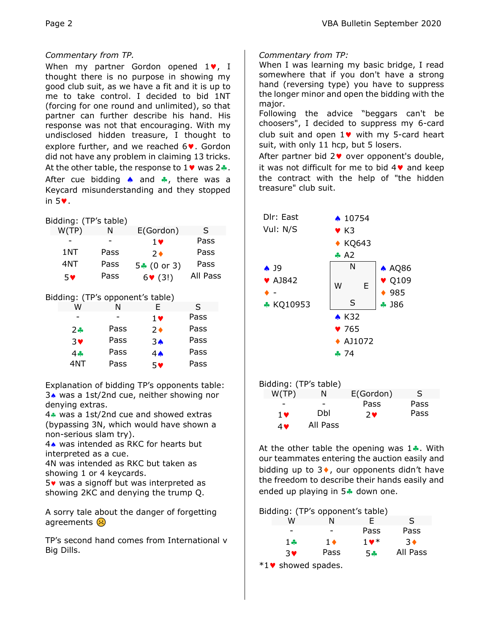#### *Commentary from TP.*

When my partner Gordon opened  $1\blacktriangledown$ , I thought there is no purpose in showing my good club suit, as we have a fit and it is up to me to take control. I decided to bid 1NT (forcing for one round and unlimited), so that partner can further describe his hand. His response was not that encouraging. With my undisclosed hidden treasure, I thought to explore further, and we reached  $6\vee$ . Gordon did not have any problem in claiming 13 tricks. At the other table, the response to  $1\blacktriangledown$  was  $2\clubsuit$ . After cue bidding  $\spadesuit$  and  $\clubsuit$ , there was a Keycard misunderstanding and they stopped in  $5\bullet$ .

| Bidding: (TP's table) |  |  |
|-----------------------|--|--|

| W(TP) | N    | E(Gordon)       | S        |
|-------|------|-----------------|----------|
|       |      | 1 <sub>v</sub>  | Pass     |
| 1NT   | Pass | $2 \bullet$     | Pass     |
| 4NT   | Pass | $5 - (0)$ or 3) | Pass     |
| 5♥    | Pass | $6 \cdot (3!)$  | All Pass |

Bidding: (TP's opponent's table)

| W          |      | F.             | S    |
|------------|------|----------------|------|
|            |      | $1$ $\vee$     | Pass |
| $2 -$      | Pass | 2♦             | Pass |
| $3$ V      | Pass | 3 <sub>o</sub> | Pass |
| 4 <b>.</b> | Pass | $4 \spadesuit$ | Pass |
| 4NT        | Pass | 5♥             | Pass |

Explanation of bidding TP's opponents table: 3. was a 1st/2nd cue, neither showing nor denying extras.

4. was a 1st/2nd cue and showed extras (bypassing 3N, which would have shown a non-serious slam try).

4. was intended as RKC for hearts but interpreted as a cue.

4N was intended as RKC but taken as showing 1 or 4 keycards.

 $5\bullet$  was a signoff but was interpreted as showing 2KC and denying the trump Q.

A sorry tale about the danger of forgetting agreements  $\left(\cdot\right)$ 

TP's second hand comes from International v Big Dills.

*Commentary from TP:*

When I was learning my basic bridge, I read somewhere that if you don't have a strong hand (reversing type) you have to suppress the longer minor and open the bidding with the major.

Following the advice "beggars can't be choosers", I decided to suppress my 6-card club suit and open  $1\vee$  with my 5-card heart suit, with only 11 hcp, but 5 losers.

After partner bid  $2\vee$  over opponent's double, it was not difficult for me to bid  $4\blacktriangledown$  and keep the contract with the help of "the hidden treasure" club suit.





At the other table the opening was  $1$ . With our teammates entering the auction easily and bidding up to  $3\bullet$ , our opponents didn't have the freedom to describe their hands easily and ended up playing in  $5$  down one.

Bidding: (TP's opponent's table)

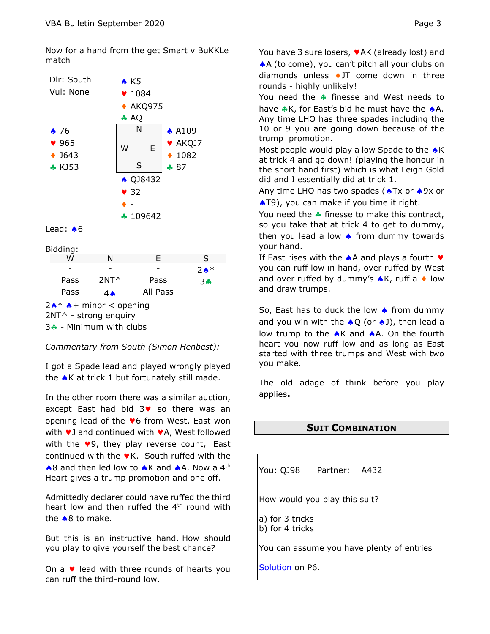Now for a hand from the get Smart v BuKKLe match



|                                         | vv   | ıм             | г.       | ∍                |
|-----------------------------------------|------|----------------|----------|------------------|
|                                         |      |                |          | $2 \spadesuit^*$ |
|                                         | Pass | $2NT^{\wedge}$ | Pass     | $3 -$            |
|                                         | Pass | 4 <sub>•</sub> | All Pass |                  |
| $2 \cdot \cdot \cdot$ + minor < opening |      |                |          |                  |
| 2NT^ - strong enquiry                   |      |                |          |                  |
| $3 -$ - Minimum with clubs              |      |                |          |                  |

*Commentary from South (Simon Henbest):*

I got a Spade lead and played wrongly played the  $\triangle K$  at trick 1 but fortunately still made.

In the other room there was a similar auction, except East had bid  $3\blacktriangledown$  so there was an opening lead of the  $\blacktriangledown 6$  from West. East won with  $\vee$  3 and continued with  $\vee$  A, West followed with the  $\vee$ 9, they play reverse count, East continued with the  $\blacktriangledown K$ . South ruffed with the  $\triangle$ 8 and then led low to  $\triangle K$  and  $\triangle A$ . Now a 4<sup>th</sup> Heart gives a trump promotion and one off.

Admittedly declarer could have ruffed the third heart low and then ruffed the 4<sup>th</sup> round with the  $\triangle$ 8 to make.

But this is an instructive hand. How should you play to give yourself the best chance?

On a  $\vee$  lead with three rounds of hearts you can ruff the third-round low.

You have 3 sure losers,  $\blacktriangledown$  AK (already lost) and A (to come), you can't pitch all your clubs on diamonds unless  $\triangleleft$  JT come down in three rounds - highly unlikely!

You need the  $\clubsuit$  finesse and West needs to have  $\clubsuit$ K, for East's bid he must have the  $\spadesuit$ A. Any time LHO has three spades including the 10 or 9 you are going down because of the trump promotion.

Most people would play a low Spade to the  $\triangle K$ at trick 4 and go down! (playing the honour in the short hand first) which is what Leigh Gold did and I essentially did at trick 1.

Any time LHO has two spades ( $\triangle$ Tx or  $\triangle$ 9x or **AT9)**, you can make if you time it right.

You need the  $\clubsuit$  finesse to make this contract, so you take that at trick 4 to get to dummy, then you lead a low  $\triangle$  from dummy towards your hand.

If East rises with the  $\triangle$  A and plays a fourth  $\triangledown$ you can ruff low in hand, over ruffed by West and over ruffed by dummy's  $\triangle K$ , ruff a  $\triangle V$  low and draw trumps.

So, East has to duck the low  $\triangle$  from dummy and you win with the  $\triangle Q$  (or  $\triangle J$ ), then lead a low trump to the  $\triangle K$  and  $\triangle A$ . On the fourth heart you now ruff low and as long as East started with three trumps and West with two you make.

The old adage of think before you play applies**.**

## <span id="page-2-0"></span>**SUIT COMBINATION**

You: QJ98 Partner: A432

How would you play this suit?

a) for 3 tricks b) for 4 tricks

You can assume you have plenty of entries

[Solution](#page-5-0) on P6.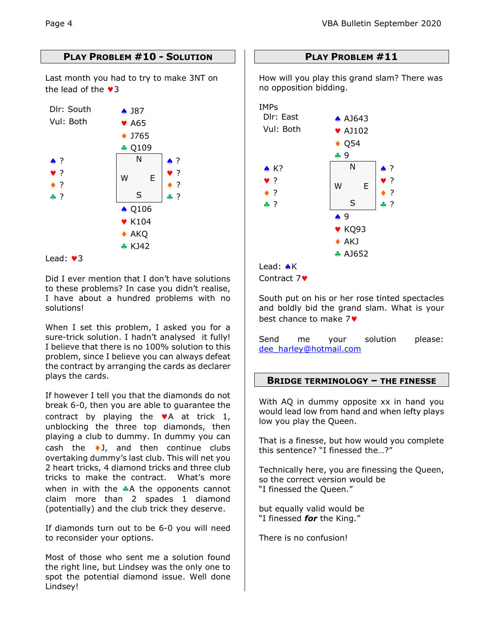# **PLAY PROBLEM #10 - SOLUTION**

Last month you had to try to make 3NT on the lead of the  $\sqrt{3}$ 



#### Lead:  $\sqrt{3}$

Did I ever mention that I don't have solutions to these problems? In case you didn't realise, I have about a hundred problems with no solutions!

When I set this problem, I asked you for a sure-trick solution. I hadn't analysed it fully! I believe that there is no 100% solution to this problem, since I believe you can always defeat the contract by arranging the cards as declarer plays the cards.

If however I tell you that the diamonds do not break 6-0, then you are able to guarantee the contract by playing the  $\blacktriangledown A$  at trick 1, unblocking the three top diamonds, then playing a club to dummy. In dummy you can cash the  $\bullet$ J, and then continue clubs overtaking dummy's last club. This will net you 2 heart tricks, 4 diamond tricks and three club tricks to make the contract. What's more when in with the  $\clubsuit$ A the opponents cannot claim more than 2 spades 1 diamond (potentially) and the club trick they deserve.

If diamonds turn out to be 6-0 you will need to reconsider your options.

Most of those who sent me a solution found the right line, but Lindsey was the only one to spot the potential diamond issue. Well done Lindsey!

## **PLAY PROBLEM #11**

How will you play this grand slam? There was no opposition bidding.



Contract 7♥

South put on his or her rose tinted spectacles and boldly bid the grand slam. What is your best chance to make 7

Send me your solution please: [dee\\_harley@hotmail.com](mailto:dee_harley@hotmail.com)

## **BRIDGE TERMINOLOGY – THE FINESSE**

With AQ in dummy opposite xx in hand you would lead low from hand and when lefty plays low you play the Queen.

That is a finesse, but how would you complete this sentence? "I finessed the…?"

Technically here, you are finessing the Queen, so the correct version would be "I finessed the Queen."

but equally valid would be "I finessed *for* the King."

There is no confusion!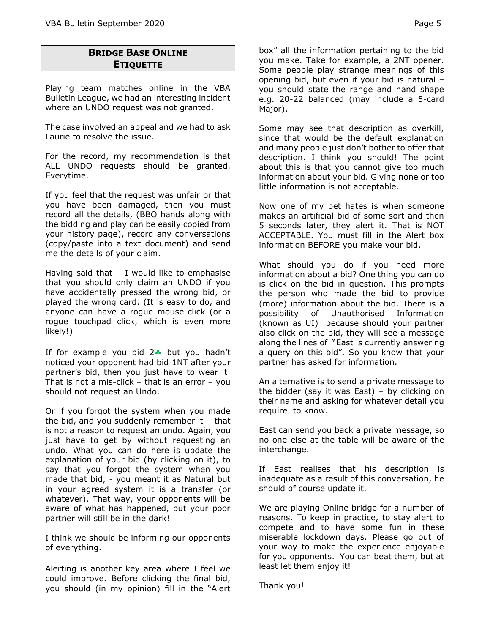# **BRIDGE BASE ONLINE ETIQUETTE**

Playing team matches online in the VBA Bulletin League, we had an interesting incident where an UNDO request was not granted.

The case involved an appeal and we had to ask Laurie to resolve the issue.

For the record, my recommendation is that ALL UNDO requests should be granted. Everytime.

If you feel that the request was unfair or that you have been damaged, then you must record all the details, (BBO hands along with the bidding and play can be easily copied from your history page), record any conversations (copy/paste into a text document) and send me the details of your claim.

Having said that  $-$  I would like to emphasise that you should only claim an UNDO if you have accidentally pressed the wrong bid, or played the wrong card. (It is easy to do, and anyone can have a rogue mouse-click (or a rogue touchpad click, which is even more likely!)

If for example you bid  $2$  but you hadn't noticed your opponent had bid 1NT after your partner's bid, then you just have to wear it! That is not a mis-click  $-$  that is an error  $-$  you should not request an Undo.

Or if you forgot the system when you made the bid, and you suddenly remember it  $-$  that is not a reason to request an undo. Again, you just have to get by without requesting an undo. What you can do here is update the explanation of your bid (by clicking on it), to say that you forgot the system when you made that bid, - you meant it as Natural but in your agreed system it is a transfer (or whatever). That way, your opponents will be aware of what has happened, but your poor partner will still be in the dark!

I think we should be informing our opponents of everything.

Alerting is another key area where I feel we could improve. Before clicking the final bid, you should (in my opinion) fill in the "Alert

box" all the information pertaining to the bid you make. Take for example, a 2NT opener. Some people play strange meanings of this opening bid, but even if your bid is natural – you should state the range and hand shape e.g. 20-22 balanced (may include a 5-card Major).

Some may see that description as overkill, since that would be the default explanation and many people just don't bother to offer that description. I think you should! The point about this is that you cannot give too much information about your bid. Giving none or too little information is not acceptable.

Now one of my pet hates is when someone makes an artificial bid of some sort and then 5 seconds later, they alert it. That is NOT ACCEPTABLE. You must fill in the Alert box information BEFORE you make your bid.

What should you do if you need more information about a bid? One thing you can do is click on the bid in question. This prompts the person who made the bid to provide (more) information about the bid. There is a possibility of Unauthorised Information (known as UI) because should your partner also click on the bid, they will see a message along the lines of "East is currently answering a query on this bid". So you know that your partner has asked for information.

An alternative is to send a private message to the bidder (say it was East) – by clicking on their name and asking for whatever detail you require to know.

East can send you back a private message, so no one else at the table will be aware of the interchange.

If East realises that his description is inadequate as a result of this conversation, he should of course update it.

We are playing Online bridge for a number of reasons. To keep in practice, to stay alert to compete and to have some fun in these miserable lockdown days. Please go out of your way to make the experience enjoyable for you opponents. You can beat them, but at least let them enjoy it!

Thank you!